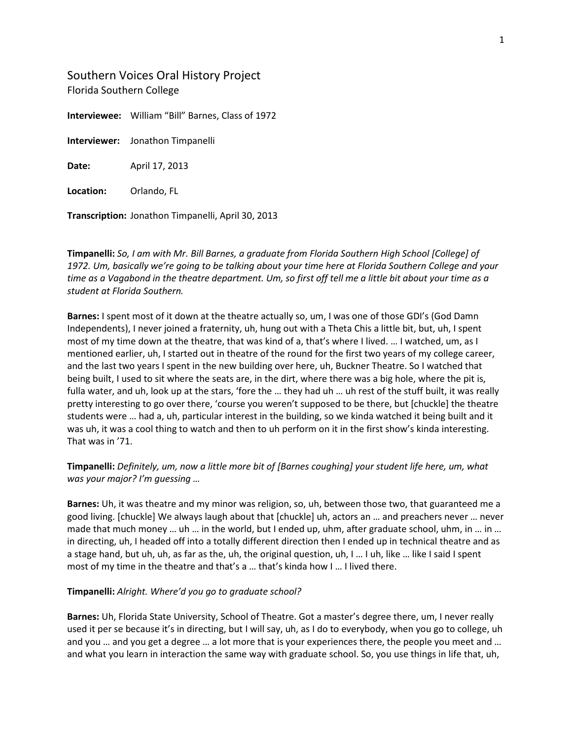Southern Voices Oral History Project Florida Southern College

**Interviewee:** William "Bill" Barnes, Class of 1972

**Interviewer:** Jonathon Timpanelli

**Date:** April 17, 2013

**Location:** Orlando, FL

**Transcription:** Jonathon Timpanelli, April 30, 2013

**Timpanelli:** *So, I am with Mr. Bill Barnes, a graduate from Florida Southern High School [College] of 1972. Um, basically we're going to be talking about your time here at Florida Southern College and your time as a Vagabond in the theatre department. Um, so first off tell me a little bit about your time as a student at Florida Southern.*

**Barnes:** I spent most of it down at the theatre actually so, um, I was one of those GDI's (God Damn Independents), I never joined a fraternity, uh, hung out with a Theta Chis a little bit, but, uh, I spent most of my time down at the theatre, that was kind of a, that's where I lived. … I watched, um, as I mentioned earlier, uh, I started out in theatre of the round for the first two years of my college career, and the last two years I spent in the new building over here, uh, Buckner Theatre. So I watched that being built, I used to sit where the seats are, in the dirt, where there was a big hole, where the pit is, fulla water, and uh, look up at the stars, 'fore the … they had uh … uh rest of the stuff built, it was really pretty interesting to go over there, 'course you weren't supposed to be there, but [chuckle] the theatre students were … had a, uh, particular interest in the building, so we kinda watched it being built and it was uh, it was a cool thing to watch and then to uh perform on it in the first show's kinda interesting. That was in '71.

## **Timpanelli:** *Definitely, um, now a little more bit of [Barnes coughing] your student life here, um, what was your major? I'm guessing …*

**Barnes:** Uh, it was theatre and my minor was religion, so, uh, between those two, that guaranteed me a good living. [chuckle] We always laugh about that [chuckle] uh, actors an … and preachers never … never made that much money … uh … in the world, but I ended up, uhm, after graduate school, uhm, in … in … in directing, uh, I headed off into a totally different direction then I ended up in technical theatre and as a stage hand, but uh, uh, as far as the, uh, the original question, uh, I … I uh, like … like I said I spent most of my time in the theatre and that's a … that's kinda how I … I lived there.

#### **Timpanelli:** *Alright. Where'd you go to graduate school?*

**Barnes:** Uh, Florida State University, School of Theatre. Got a master's degree there, um, I never really used it per se because it's in directing, but I will say, uh, as I do to everybody, when you go to college, uh and you … and you get a degree … a lot more that is your experiences there, the people you meet and … and what you learn in interaction the same way with graduate school. So, you use things in life that, uh,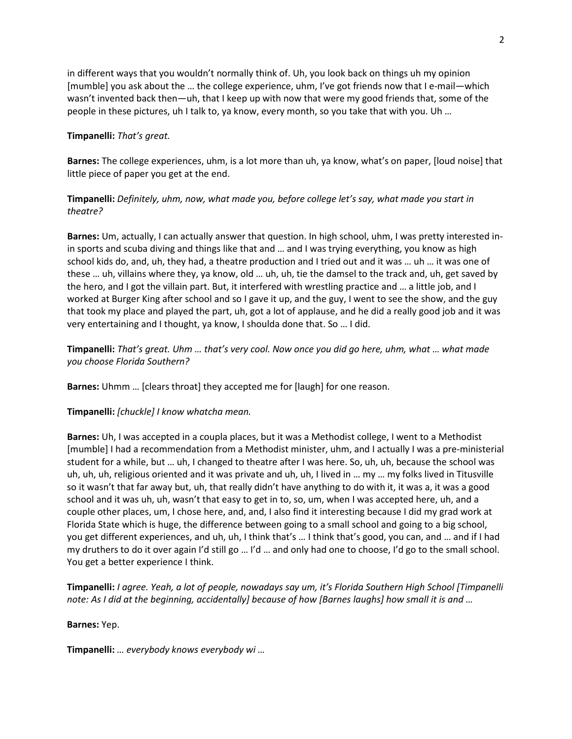in different ways that you wouldn't normally think of. Uh, you look back on things uh my opinion [mumble] you ask about the … the college experience, uhm, I've got friends now that I e-mail—which wasn't invented back then—uh, that I keep up with now that were my good friends that, some of the people in these pictures, uh I talk to, ya know, every month, so you take that with you. Uh …

## **Timpanelli:** *That's great.*

**Barnes:** The college experiences, uhm, is a lot more than uh, ya know, what's on paper, [loud noise] that little piece of paper you get at the end.

## **Timpanelli:** *Definitely, uhm, now, what made you, before college let's say, what made you start in theatre?*

**Barnes:** Um, actually, I can actually answer that question. In high school, uhm, I was pretty interested inin sports and scuba diving and things like that and … and I was trying everything, you know as high school kids do, and, uh, they had, a theatre production and I tried out and it was … uh … it was one of these … uh, villains where they, ya know, old … uh, uh, tie the damsel to the track and, uh, get saved by the hero, and I got the villain part. But, it interfered with wrestling practice and … a little job, and I worked at Burger King after school and so I gave it up, and the guy, I went to see the show, and the guy that took my place and played the part, uh, got a lot of applause, and he did a really good job and it was very entertaining and I thought, ya know, I shoulda done that. So … I did.

**Timpanelli:** *That's great. Uhm … that's very cool. Now once you did go here, uhm, what … what made you choose Florida Southern?*

**Barnes:** Uhmm … [clears throat] they accepted me for [laugh] for one reason.

## **Timpanelli:** *[chuckle] I know whatcha mean.*

**Barnes:** Uh, I was accepted in a coupla places, but it was a Methodist college, I went to a Methodist [mumble] I had a recommendation from a Methodist minister, uhm, and I actually I was a pre-ministerial student for a while, but … uh, I changed to theatre after I was here. So, uh, uh, because the school was uh, uh, uh, religious oriented and it was private and uh, uh, I lived in … my … my folks lived in Titusville so it wasn't that far away but, uh, that really didn't have anything to do with it, it was a, it was a good school and it was uh, uh, wasn't that easy to get in to, so, um, when I was accepted here, uh, and a couple other places, um, I chose here, and, and, I also find it interesting because I did my grad work at Florida State which is huge, the difference between going to a small school and going to a big school, you get different experiences, and uh, uh, I think that's … I think that's good, you can, and … and if I had my druthers to do it over again I'd still go … I'd … and only had one to choose, I'd go to the small school. You get a better experience I think.

**Timpanelli:** *I agree. Yeah, a lot of people, nowadays say um, it's Florida Southern High School [Timpanelli note: As I did at the beginning, accidentally] because of how [Barnes laughs] how small it is and …*

#### **Barnes:** Yep.

**Timpanelli:** *… everybody knows everybody wi …*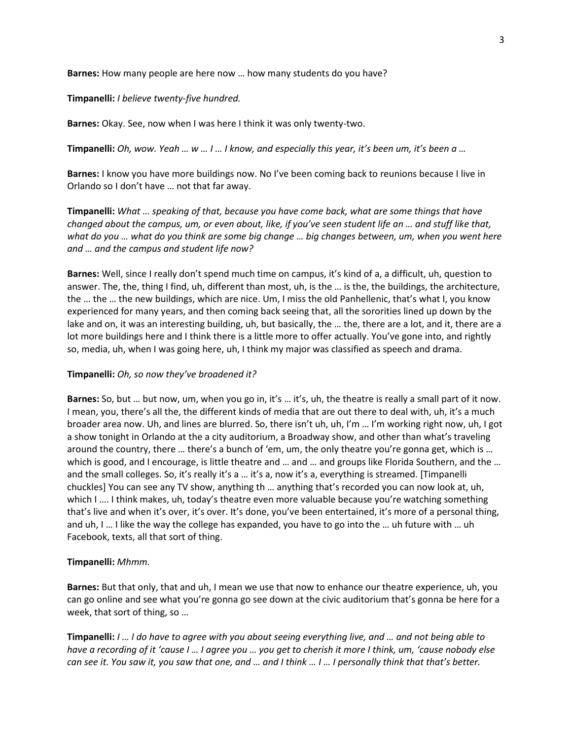**Barnes:** How many people are here now … how many students do you have?

**Timpanelli:** *I believe twenty-five hundred.*

**Barnes:** Okay. See, now when I was here I think it was only twenty-two.

**Timpanelli:** *Oh, wow. Yeah … w … I … I know, and especially this year, it's been um, it's been a …*

**Barnes:** I know you have more buildings now. No I've been coming back to reunions because I live in Orlando so I don't have … not that far away.

**Timpanelli:** *What … speaking of that, because you have come back, what are some things that have changed about the campus, um, or even about, like, if you've seen student life an … and stuff like that, what do you … what do you think are some big change … big changes between, um, when you went here and … and the campus and student life now?*

**Barnes:** Well, since I really don't spend much time on campus, it's kind of a, a difficult, uh, question to answer. The, the, thing I find, uh, different than most, uh, is the … is the, the buildings, the architecture, the … the … the new buildings, which are nice. Um, I miss the old Panhellenic, that's what I, you know experienced for many years, and then coming back seeing that, all the sororities lined up down by the lake and on, it was an interesting building, uh, but basically, the … the, there are a lot, and it, there are a lot more buildings here and I think there is a little more to offer actually. You've gone into, and rightly so, media, uh, when I was going here, uh, I think my major was classified as speech and drama.

#### **Timpanelli:** *Oh, so now they've broadened it?*

**Barnes:** So, but … but now, um, when you go in, it's … it's, uh, the theatre is really a small part of it now. I mean, you, there's all the, the different kinds of media that are out there to deal with, uh, it's a much broader area now. Uh, and lines are blurred. So, there isn't uh, uh, I'm … I'm working right now, uh, I got a show tonight in Orlando at the a city auditorium, a Broadway show, and other than what's traveling around the country, there … there's a bunch of 'em, um, the only theatre you're gonna get, which is … which is good, and I encourage, is little theatre and ... and ... and groups like Florida Southern, and the ... and the small colleges. So, it's really it's a … it's a, now it's a, everything is streamed. [Timpanelli chuckles] You can see any TV show, anything th … anything that's recorded you can now look at, uh, which I …. I think makes, uh, today's theatre even more valuable because you're watching something that's live and when it's over, it's over. It's done, you've been entertained, it's more of a personal thing, and uh, I … I like the way the college has expanded, you have to go into the … uh future with … uh Facebook, texts, all that sort of thing.

#### **Timpanelli:** *Mhmm.*

**Barnes:** But that only, that and uh, I mean we use that now to enhance our theatre experience, uh, you can go online and see what you're gonna go see down at the civic auditorium that's gonna be here for a week, that sort of thing, so …

**Timpanelli:** *I … I do have to agree with you about seeing everything live, and … and not being able to have a recording of it 'cause I … I agree you … you get to cherish it more I think, um, 'cause nobody else can see it. You saw it, you saw that one, and … and I think … I … I personally think that that's better.*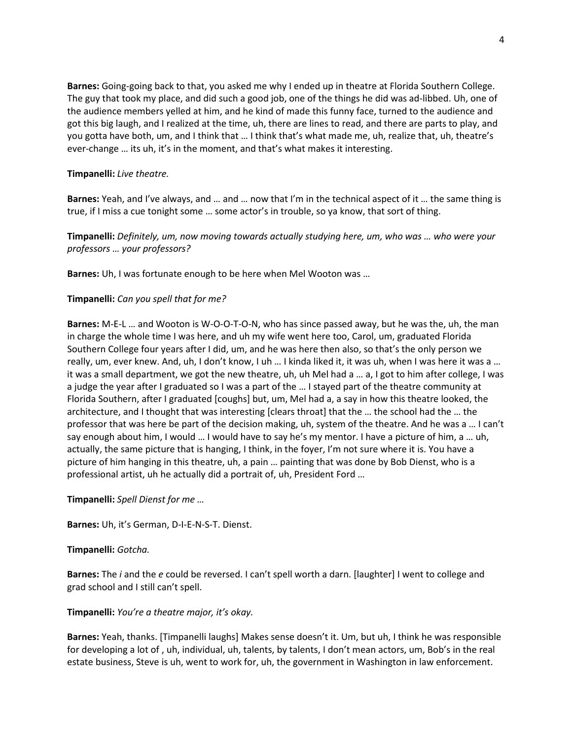**Barnes:** Going-going back to that, you asked me why I ended up in theatre at Florida Southern College. The guy that took my place, and did such a good job, one of the things he did was ad-libbed. Uh, one of the audience members yelled at him, and he kind of made this funny face, turned to the audience and got this big laugh, and I realized at the time, uh, there are lines to read, and there are parts to play, and you gotta have both, um, and I think that … I think that's what made me, uh, realize that, uh, theatre's ever-change … its uh, it's in the moment, and that's what makes it interesting.

## **Timpanelli:** *Live theatre.*

**Barnes:** Yeah, and I've always, and … and … now that I'm in the technical aspect of it … the same thing is true, if I miss a cue tonight some … some actor's in trouble, so ya know, that sort of thing.

**Timpanelli:** *Definitely, um, now moving towards actually studying here, um, who was … who were your professors … your professors?*

**Barnes:** Uh, I was fortunate enough to be here when Mel Wooton was …

## **Timpanelli:** *Can you spell that for me?*

**Barnes:** M-E-L … and Wooton is W-O-O-T-O-N, who has since passed away, but he was the, uh, the man in charge the whole time I was here, and uh my wife went here too, Carol, um, graduated Florida Southern College four years after I did, um, and he was here then also, so that's the only person we really, um, ever knew. And, uh, I don't know, I uh … I kinda liked it, it was uh, when I was here it was a … it was a small department, we got the new theatre, uh, uh Mel had a … a, I got to him after college, I was a judge the year after I graduated so I was a part of the … I stayed part of the theatre community at Florida Southern, after I graduated [coughs] but, um, Mel had a, a say in how this theatre looked, the architecture, and I thought that was interesting [clears throat] that the … the school had the … the professor that was here be part of the decision making, uh, system of the theatre. And he was a … I can't say enough about him, I would … I would have to say he's my mentor. I have a picture of him, a … uh, actually, the same picture that is hanging, I think, in the foyer, I'm not sure where it is. You have a picture of him hanging in this theatre, uh, a pain … painting that was done by Bob Dienst, who is a professional artist, uh he actually did a portrait of, uh, President Ford …

**Timpanelli:** *Spell Dienst for me …*

**Barnes:** Uh, it's German, D-I-E-N-S-T. Dienst.

#### **Timpanelli:** *Gotcha.*

**Barnes:** The *i* and the *e* could be reversed. I can't spell worth a darn. [laughter] I went to college and grad school and I still can't spell.

**Timpanelli:** *You're a theatre major, it's okay.*

**Barnes:** Yeah, thanks. [Timpanelli laughs] Makes sense doesn't it. Um, but uh, I think he was responsible for developing a lot of , uh, individual, uh, talents, by talents, I don't mean actors, um, Bob's in the real estate business, Steve is uh, went to work for, uh, the government in Washington in law enforcement.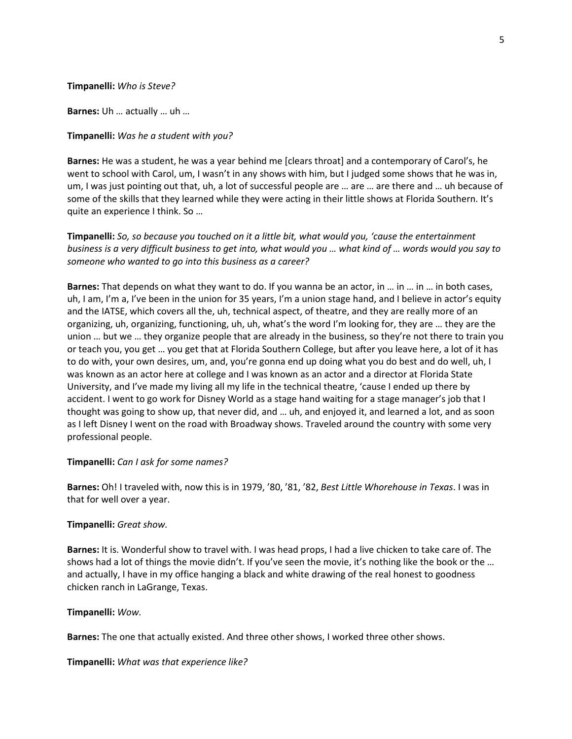#### **Timpanelli:** *Who is Steve?*

**Barnes:** Uh … actually … uh …

#### **Timpanelli:** *Was he a student with you?*

**Barnes:** He was a student, he was a year behind me [clears throat] and a contemporary of Carol's, he went to school with Carol, um, I wasn't in any shows with him, but I judged some shows that he was in, um, I was just pointing out that, uh, a lot of successful people are … are … are there and … uh because of some of the skills that they learned while they were acting in their little shows at Florida Southern. It's quite an experience I think. So …

**Timpanelli:** *So, so because you touched on it a little bit, what would you, 'cause the entertainment business is a very difficult business to get into, what would you … what kind of … words would you say to someone who wanted to go into this business as a career?*

**Barnes:** That depends on what they want to do. If you wanna be an actor, in … in … in … in both cases, uh, I am, I'm a, I've been in the union for 35 years, I'm a union stage hand, and I believe in actor's equity and the IATSE, which covers all the, uh, technical aspect, of theatre, and they are really more of an organizing, uh, organizing, functioning, uh, uh, what's the word I'm looking for, they are … they are the union … but we … they organize people that are already in the business, so they're not there to train you or teach you, you get … you get that at Florida Southern College, but after you leave here, a lot of it has to do with, your own desires, um, and, you're gonna end up doing what you do best and do well, uh, I was known as an actor here at college and I was known as an actor and a director at Florida State University, and I've made my living all my life in the technical theatre, 'cause I ended up there by accident. I went to go work for Disney World as a stage hand waiting for a stage manager's job that I thought was going to show up, that never did, and … uh, and enjoyed it, and learned a lot, and as soon as I left Disney I went on the road with Broadway shows. Traveled around the country with some very professional people.

#### **Timpanelli:** *Can I ask for some names?*

**Barnes:** Oh! I traveled with, now this is in 1979, '80, '81, '82, *Best Little Whorehouse in Texas*. I was in that for well over a year.

#### **Timpanelli:** *Great show.*

**Barnes:** It is. Wonderful show to travel with. I was head props, I had a live chicken to take care of. The shows had a lot of things the movie didn't. If you've seen the movie, it's nothing like the book or the … and actually, I have in my office hanging a black and white drawing of the real honest to goodness chicken ranch in LaGrange, Texas.

#### **Timpanelli:** *Wow.*

**Barnes:** The one that actually existed. And three other shows, I worked three other shows.

**Timpanelli:** *What was that experience like?*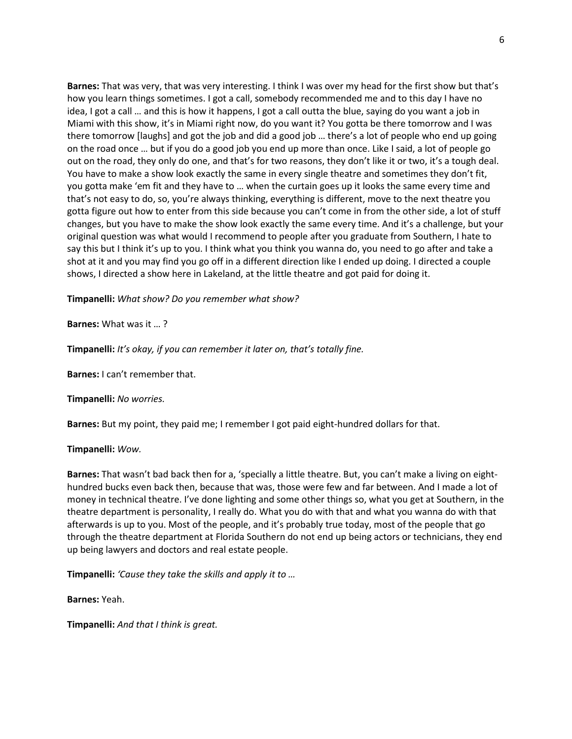**Barnes:** That was very, that was very interesting. I think I was over my head for the first show but that's how you learn things sometimes. I got a call, somebody recommended me and to this day I have no idea, I got a call … and this is how it happens, I got a call outta the blue, saying do you want a job in Miami with this show, it's in Miami right now, do you want it? You gotta be there tomorrow and I was there tomorrow [laughs] and got the job and did a good job … there's a lot of people who end up going on the road once … but if you do a good job you end up more than once. Like I said, a lot of people go out on the road, they only do one, and that's for two reasons, they don't like it or two, it's a tough deal. You have to make a show look exactly the same in every single theatre and sometimes they don't fit, you gotta make 'em fit and they have to … when the curtain goes up it looks the same every time and that's not easy to do, so, you're always thinking, everything is different, move to the next theatre you gotta figure out how to enter from this side because you can't come in from the other side, a lot of stuff changes, but you have to make the show look exactly the same every time. And it's a challenge, but your original question was what would I recommend to people after you graduate from Southern, I hate to say this but I think it's up to you. I think what you think you wanna do, you need to go after and take a shot at it and you may find you go off in a different direction like I ended up doing. I directed a couple shows, I directed a show here in Lakeland, at the little theatre and got paid for doing it.

**Timpanelli:** *What show? Do you remember what show?*

**Barnes:** What was it … ?

**Timpanelli:** *It's okay, if you can remember it later on, that's totally fine.*

**Barnes:** I can't remember that.

**Timpanelli:** *No worries.*

**Barnes:** But my point, they paid me; I remember I got paid eight-hundred dollars for that.

**Timpanelli:** *Wow.*

**Barnes:** That wasn't bad back then for a, 'specially a little theatre. But, you can't make a living on eighthundred bucks even back then, because that was, those were few and far between. And I made a lot of money in technical theatre. I've done lighting and some other things so, what you get at Southern, in the theatre department is personality, I really do. What you do with that and what you wanna do with that afterwards is up to you. Most of the people, and it's probably true today, most of the people that go through the theatre department at Florida Southern do not end up being actors or technicians, they end up being lawyers and doctors and real estate people.

**Timpanelli:** *'Cause they take the skills and apply it to …*

**Barnes:** Yeah.

**Timpanelli:** *And that I think is great.*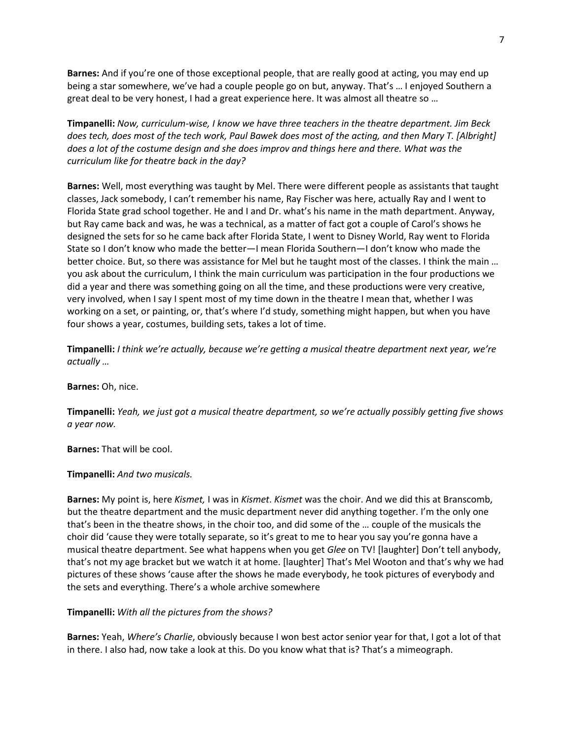**Barnes:** And if you're one of those exceptional people, that are really good at acting, you may end up being a star somewhere, we've had a couple people go on but, anyway. That's … I enjoyed Southern a great deal to be very honest, I had a great experience here. It was almost all theatre so …

**Timpanelli:** *Now, curriculum-wise, I know we have three teachers in the theatre department. Jim Beck does tech, does most of the tech work, Paul Bawek does most of the acting, and then Mary T. [Albright] does a lot of the costume design and she does improv and things here and there. What was the curriculum like for theatre back in the day?*

**Barnes:** Well, most everything was taught by Mel. There were different people as assistants that taught classes, Jack somebody, I can't remember his name, Ray Fischer was here, actually Ray and I went to Florida State grad school together. He and I and Dr. what's his name in the math department. Anyway, but Ray came back and was, he was a technical, as a matter of fact got a couple of Carol's shows he designed the sets for so he came back after Florida State, I went to Disney World, Ray went to Florida State so I don't know who made the better—I mean Florida Southern—I don't know who made the better choice. But, so there was assistance for Mel but he taught most of the classes. I think the main … you ask about the curriculum, I think the main curriculum was participation in the four productions we did a year and there was something going on all the time, and these productions were very creative, very involved, when I say I spent most of my time down in the theatre I mean that, whether I was working on a set, or painting, or, that's where I'd study, something might happen, but when you have four shows a year, costumes, building sets, takes a lot of time.

**Timpanelli:** *I think we're actually, because we're getting a musical theatre department next year, we're actually …*

**Barnes:** Oh, nice.

**Timpanelli:** *Yeah, we just got a musical theatre department, so we're actually possibly getting five shows a year now.*

**Barnes:** That will be cool.

**Timpanelli:** *And two musicals.*

**Barnes:** My point is, here *Kismet,* I was in *Kismet*. *Kismet* was the choir. And we did this at Branscomb, but the theatre department and the music department never did anything together. I'm the only one that's been in the theatre shows, in the choir too, and did some of the … couple of the musicals the choir did 'cause they were totally separate, so it's great to me to hear you say you're gonna have a musical theatre department. See what happens when you get *Glee* on TV! [laughter] Don't tell anybody, that's not my age bracket but we watch it at home. [laughter] That's Mel Wooton and that's why we had pictures of these shows 'cause after the shows he made everybody, he took pictures of everybody and the sets and everything. There's a whole archive somewhere

**Timpanelli:** *With all the pictures from the shows?*

**Barnes:** Yeah, *Where's Charlie*, obviously because I won best actor senior year for that, I got a lot of that in there. I also had, now take a look at this. Do you know what that is? That's a mimeograph.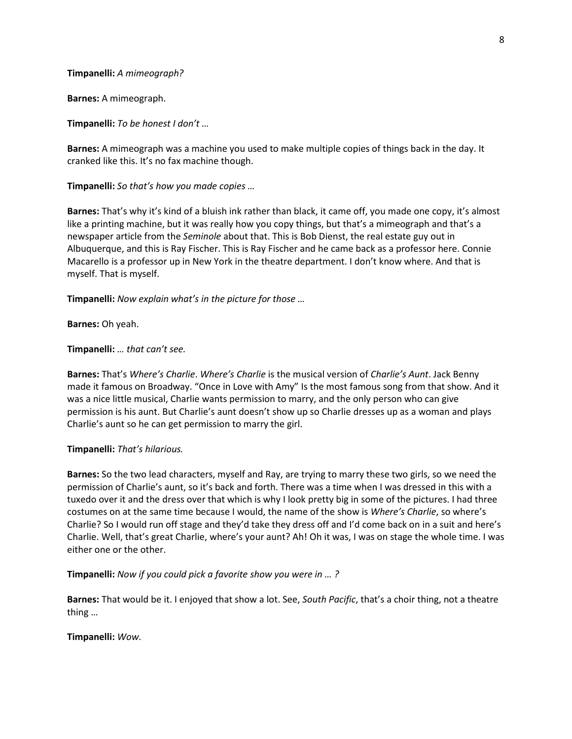**Timpanelli:** *A mimeograph?*

**Barnes:** A mimeograph.

**Timpanelli:** *To be honest I don't …*

**Barnes:** A mimeograph was a machine you used to make multiple copies of things back in the day. It cranked like this. It's no fax machine though.

**Timpanelli:** *So that's how you made copies …*

**Barnes:** That's why it's kind of a bluish ink rather than black, it came off, you made one copy, it's almost like a printing machine, but it was really how you copy things, but that's a mimeograph and that's a newspaper article from the *Seminole* about that. This is Bob Dienst, the real estate guy out in Albuquerque, and this is Ray Fischer. This is Ray Fischer and he came back as a professor here. Connie Macarello is a professor up in New York in the theatre department. I don't know where. And that is myself. That is myself.

**Timpanelli:** *Now explain what's in the picture for those …*

**Barnes:** Oh yeah.

**Timpanelli:** *… that can't see.*

**Barnes:** That's *Where's Charlie*. *Where's Charlie* is the musical version of *Charlie's Aunt*. Jack Benny made it famous on Broadway. "Once in Love with Amy" Is the most famous song from that show. And it was a nice little musical, Charlie wants permission to marry, and the only person who can give permission is his aunt. But Charlie's aunt doesn't show up so Charlie dresses up as a woman and plays Charlie's aunt so he can get permission to marry the girl.

#### **Timpanelli:** *That's hilarious.*

**Barnes:** So the two lead characters, myself and Ray, are trying to marry these two girls, so we need the permission of Charlie's aunt, so it's back and forth. There was a time when I was dressed in this with a tuxedo over it and the dress over that which is why I look pretty big in some of the pictures. I had three costumes on at the same time because I would, the name of the show is *Where's Charlie*, so where's Charlie? So I would run off stage and they'd take they dress off and I'd come back on in a suit and here's Charlie. Well, that's great Charlie, where's your aunt? Ah! Oh it was, I was on stage the whole time. I was either one or the other.

**Timpanelli:** *Now if you could pick a favorite show you were in … ?*

**Barnes:** That would be it. I enjoyed that show a lot. See, *South Pacific*, that's a choir thing, not a theatre thing …

**Timpanelli:** *Wow.*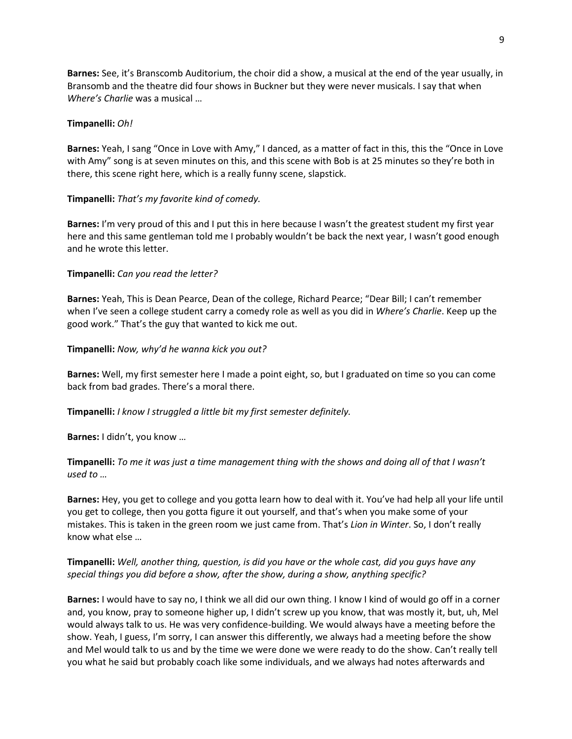**Barnes:** See, it's Branscomb Auditorium, the choir did a show, a musical at the end of the year usually, in Bransomb and the theatre did four shows in Buckner but they were never musicals. I say that when *Where's Charlie* was a musical …

### **Timpanelli:** *Oh!*

**Barnes:** Yeah, I sang "Once in Love with Amy," I danced, as a matter of fact in this, this the "Once in Love with Amy" song is at seven minutes on this, and this scene with Bob is at 25 minutes so they're both in there, this scene right here, which is a really funny scene, slapstick.

## **Timpanelli:** *That's my favorite kind of comedy.*

**Barnes:** I'm very proud of this and I put this in here because I wasn't the greatest student my first year here and this same gentleman told me I probably wouldn't be back the next year, I wasn't good enough and he wrote this letter.

## **Timpanelli:** *Can you read the letter?*

**Barnes:** Yeah, This is Dean Pearce, Dean of the college, Richard Pearce; "Dear Bill; I can't remember when I've seen a college student carry a comedy role as well as you did in *Where's Charlie*. Keep up the good work." That's the guy that wanted to kick me out.

## **Timpanelli:** *Now, why'd he wanna kick you out?*

**Barnes:** Well, my first semester here I made a point eight, so, but I graduated on time so you can come back from bad grades. There's a moral there.

## **Timpanelli:** *I know I struggled a little bit my first semester definitely.*

**Barnes:** I didn't, you know …

**Timpanelli:** *To me it was just a time management thing with the shows and doing all of that I wasn't used to …*

**Barnes:** Hey, you get to college and you gotta learn how to deal with it. You've had help all your life until you get to college, then you gotta figure it out yourself, and that's when you make some of your mistakes. This is taken in the green room we just came from. That's *Lion in Winter*. So, I don't really know what else …

## **Timpanelli:** *Well, another thing, question, is did you have or the whole cast, did you guys have any special things you did before a show, after the show, during a show, anything specific?*

**Barnes:** I would have to say no, I think we all did our own thing. I know I kind of would go off in a corner and, you know, pray to someone higher up, I didn't screw up you know, that was mostly it, but, uh, Mel would always talk to us. He was very confidence-building. We would always have a meeting before the show. Yeah, I guess, I'm sorry, I can answer this differently, we always had a meeting before the show and Mel would talk to us and by the time we were done we were ready to do the show. Can't really tell you what he said but probably coach like some individuals, and we always had notes afterwards and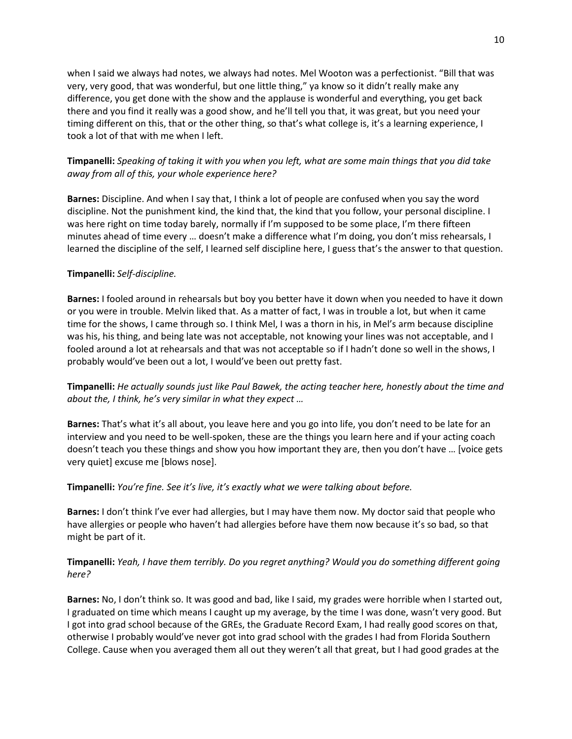when I said we always had notes, we always had notes. Mel Wooton was a perfectionist. "Bill that was very, very good, that was wonderful, but one little thing," ya know so it didn't really make any difference, you get done with the show and the applause is wonderful and everything, you get back there and you find it really was a good show, and he'll tell you that, it was great, but you need your timing different on this, that or the other thing, so that's what college is, it's a learning experience, I took a lot of that with me when I left.

# **Timpanelli:** *Speaking of taking it with you when you left, what are some main things that you did take away from all of this, your whole experience here?*

**Barnes:** Discipline. And when I say that, I think a lot of people are confused when you say the word discipline. Not the punishment kind, the kind that, the kind that you follow, your personal discipline. I was here right on time today barely, normally if I'm supposed to be some place, I'm there fifteen minutes ahead of time every … doesn't make a difference what I'm doing, you don't miss rehearsals, I learned the discipline of the self, I learned self discipline here, I guess that's the answer to that question.

## **Timpanelli:** *Self-discipline.*

**Barnes:** I fooled around in rehearsals but boy you better have it down when you needed to have it down or you were in trouble. Melvin liked that. As a matter of fact, I was in trouble a lot, but when it came time for the shows, I came through so. I think Mel, I was a thorn in his, in Mel's arm because discipline was his, his thing, and being late was not acceptable, not knowing your lines was not acceptable, and I fooled around a lot at rehearsals and that was not acceptable so if I hadn't done so well in the shows, I probably would've been out a lot, I would've been out pretty fast.

**Timpanelli:** *He actually sounds just like Paul Bawek, the acting teacher here, honestly about the time and about the, I think, he's very similar in what they expect …*

**Barnes:** That's what it's all about, you leave here and you go into life, you don't need to be late for an interview and you need to be well-spoken, these are the things you learn here and if your acting coach doesn't teach you these things and show you how important they are, then you don't have … [voice gets very quiet] excuse me [blows nose].

## **Timpanelli:** *You're fine. See it's live, it's exactly what we were talking about before.*

**Barnes:** I don't think I've ever had allergies, but I may have them now. My doctor said that people who have allergies or people who haven't had allergies before have them now because it's so bad, so that might be part of it.

# **Timpanelli:** *Yeah, I have them terribly. Do you regret anything? Would you do something different going here?*

**Barnes:** No, I don't think so. It was good and bad, like I said, my grades were horrible when I started out, I graduated on time which means I caught up my average, by the time I was done, wasn't very good. But I got into grad school because of the GREs, the Graduate Record Exam, I had really good scores on that, otherwise I probably would've never got into grad school with the grades I had from Florida Southern College. Cause when you averaged them all out they weren't all that great, but I had good grades at the